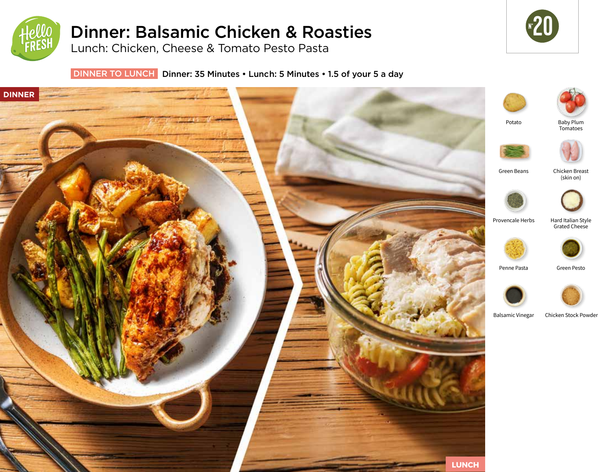

# Dinner: Balsamic Chicken & Roasties

Lunch: Chicken, Cheese & Tomato Pesto Pasta



DINNER TO LUNCH Dinner: 35 Minutes • Lunch: 5 Minutes • 1.5 of your 5 a day